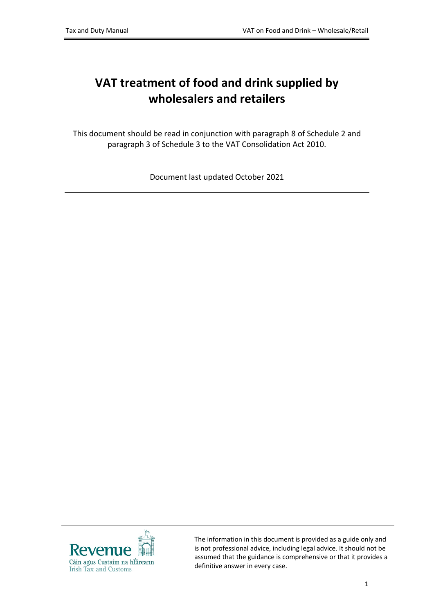# **VAT treatment of food and drink supplied by wholesalers and retailers**

This document should be read in conjunction with paragraph 8 of Schedule 2 and paragraph 3 of Schedule 3 to the VAT Consolidation Act 2010.

Document last updated October 2021



The information in this document is provided as a guide only and is not professional advice, including legal advice. It should not be assumed that the guidance is comprehensive or that it provides a definitive answer in every case.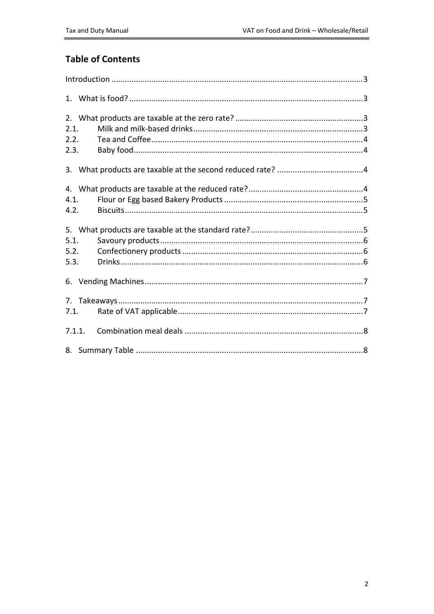### **Table of Contents**

| 2.1.<br>2.2.<br>2.3. |        |  |  |  |  |
|----------------------|--------|--|--|--|--|
|                      |        |  |  |  |  |
| 4.1.<br>4.2.         |        |  |  |  |  |
| 5.1.<br>5.2.<br>5.3. |        |  |  |  |  |
|                      |        |  |  |  |  |
| 7.1.                 |        |  |  |  |  |
|                      | 7.1.1. |  |  |  |  |
|                      |        |  |  |  |  |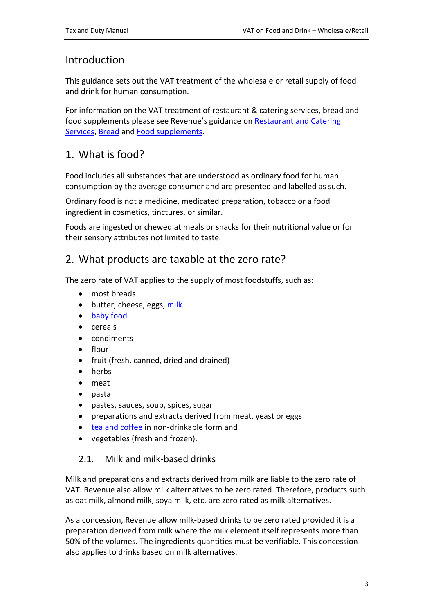### <span id="page-2-0"></span>Introduction

This guidance sets out the VAT treatment of the wholesale or retail supply of food and drink for human consumption.

For information on the VAT treatment of restaurant & catering services, bread and food supplements please see Revenue's guidance on [Restaurant](https://www.revenue.ie/en/tax-professionals/tdm/value-added-tax/part03-taxable-transactions-goods-ica-services/Services/services-vat-treatment-of-restaurant-and-catering-services.pdf) [and](https://www.revenue.ie/en/tax-professionals/tdm/value-added-tax/part03-taxable-transactions-goods-ica-services/Services/services-vat-treatment-of-restaurant-and-catering-services.pdf) [Catering](https://www.revenue.ie/en/tax-professionals/tdm/value-added-tax/part03-taxable-transactions-goods-ica-services/Services/services-vat-treatment-of-restaurant-and-catering-services.pdf) [Services](https://www.revenue.ie/en/tax-professionals/tdm/value-added-tax/part03-taxable-transactions-goods-ica-services/Services/services-vat-treatment-of-restaurant-and-catering-services.pdf), [Bread](https://www.revenue.ie/en/tax-professionals/tdm/value-added-tax/part03-taxable-transactions-goods-ica-services/Goods/goods-bread.pdf) and [Food](https://www.revenue.ie/en/tax-professionals/tdm/value-added-tax/part03-taxable-transactions-goods-ica-services/Goods/goods-food-supplements.pdf) [supplements.](https://www.revenue.ie/en/tax-professionals/tdm/value-added-tax/part03-taxable-transactions-goods-ica-services/Goods/goods-food-supplements.pdf)

# <span id="page-2-1"></span>1. What is food?

Food includes all substances that are understood as ordinary food for human consumption by the average consumer and are presented and labelled as such.

Ordinary food is not a medicine, medicated preparation, tobacco or a food ingredient in cosmetics, tinctures, or similar.

Foods are ingested or chewed at meals or snacks for their nutritional value or for their sensory attributes not limited to taste.

# <span id="page-2-2"></span>2. What products are taxable at the zero rate?

The zero rate of VAT applies to the supply of most foodstuffs, such as:

- most breads
- butter, cheese, eggs, [milk](#page-2-3)
- [baby](#page-3-1) [food](#page-3-1)
- cereals
- condiments
- flour
- fruit (fresh, canned, dried and drained)
- herbs
- meat
- pasta
- pastes, sauces, soup, spices, sugar
- preparations and extracts derived from meat, yeast or eggs
- [tea](#page-3-0) [and](#page-3-0) [coffee](#page-3-0) in non-drinkable form and
- vegetables (fresh and frozen).

#### <span id="page-2-3"></span>2.1. Milk and milk-based drinks

Milk and preparations and extracts derived from milk are liable to the zero rate of VAT. Revenue also allow milk alternatives to be zero rated. Therefore, products such as oat milk, almond milk, soya milk, etc. are zero rated as milk alternatives.

As a concession, Revenue allow milk-based drinks to be zero rated provided it is a preparation derived from milk where the milk element itself represents more than 50% of the volumes. The ingredients quantities must be verifiable. This concession also applies to drinks based on milk alternatives.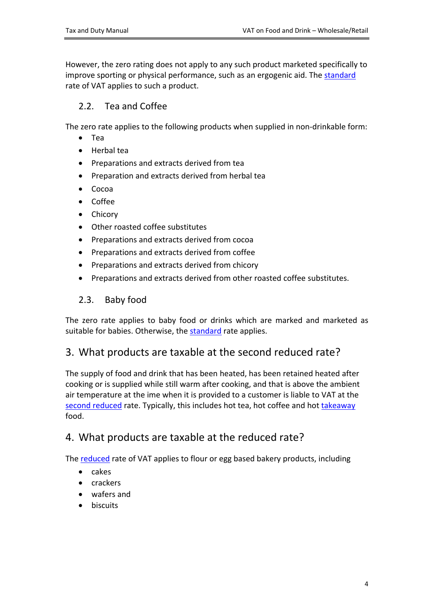However, the zero rating does not apply to any such product marketed specifically to improve sporting or physical performance, such as an ergogenic aid. The [standard](https://www.revenue.ie/en/vat/vat-rates/search-vat-rates/current-vat-rates.aspx) rate of VAT applies to such a product.

### <span id="page-3-0"></span>2.2. Tea and Coffee

The zero rate applies to the following products when supplied in non-drinkable form:

- Tea
- Herbal tea
- Preparations and extracts derived from tea
- Preparation and extracts derived from herbal tea
- $\bullet$  Cocoa
- Coffee
- Chicory
- Other roasted coffee substitutes
- Preparations and extracts derived from cocoa
- Preparations and extracts derived from coffee
- Preparations and extracts derived from chicory
- Preparations and extracts derived from other roasted coffee substitutes.

### <span id="page-3-1"></span>2.3. Baby food

The zero rate applies to baby food or drinks which are marked and marketed as suitable for babies. Otherwise, the [standard](https://www.revenue.ie/en/vat/vat-rates/search-vat-rates/current-vat-rates.aspx) rate applies.

# <span id="page-3-2"></span>3. What products are taxable at the second reduced rate?

The supply of food and drink that has been heated, has been retained heated after cooking or is supplied while still warm after cooking, and that is above the ambient air temperature at the ime when it is provided to a customer is liable to VAT at the [second](https://www.revenue.ie/en/vat/vat-rates/search-vat-rates/current-vat-rates.aspx) [reduced](https://www.revenue.ie/en/vat/vat-rates/search-vat-rates/current-vat-rates.aspx) rate. Typically, this includes hot tea, hot coffee and hot [takeaway](#page-6-1) food.

# <span id="page-3-3"></span>4. What products are taxable at the reduced rate?

The [reduced](https://www.revenue.ie/en/vat/vat-rates/search-vat-rates/current-vat-rates.aspx) rate of VAT applies to flour or egg based bakery products, including

- $\bullet$  cakes
- crackers
- wafers and
- **•** biscuits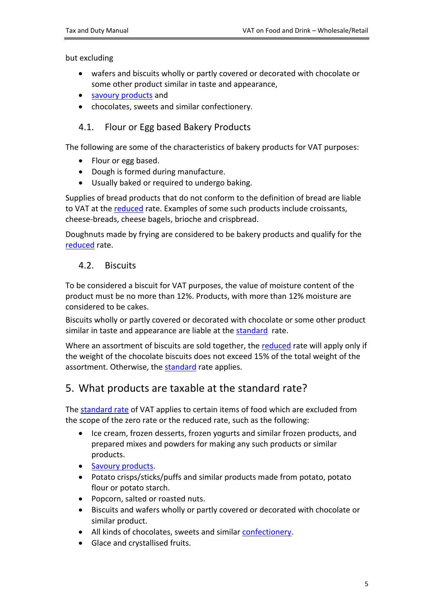but excluding

- wafers and biscuits wholly or partly covered or decorated with chocolate or some other product similar in taste and appearance,
- [savoury](#page-5-0) [products](#page-5-0) and
- chocolates, sweets and similar confectionery.

#### <span id="page-4-0"></span>4.1. Flour or Egg based Bakery Products

The following are some of the characteristics of bakery products for VAT purposes:

- Flour or egg based.
- Dough is formed during manufacture.
- Usually baked or required to undergo baking.

Supplies of bread products that do not conform to the definition of bread are liable to VAT at the [reduced](https://www.revenue.ie/en/vat/vat-rates/search-vat-rates/current-vat-rates.aspx) rate. Examples of some such products include croissants, cheese-breads, cheese bagels, brioche and crispbread.

Doughnuts made by frying are considered to be bakery products and qualify for the [reduced](https://www.revenue.ie/en/vat/vat-rates/search-vat-rates/current-vat-rates.aspx) rate.

#### <span id="page-4-1"></span>4.2. Biscuits

To be considered a biscuit for VAT purposes, the value of moisture content of the product must be no more than 12%. Products, with more than 12% moisture are considered to be cakes.

Biscuits wholly or partly covered or decorated with chocolate or some other product similar in taste and appearance are liable at the [standard](https://www.revenue.ie/en/vat/vat-rates/search-vat-rates/current-vat-rates.aspx) rate.

Where an assortment of biscuits are sold together, the [reduced](https://www.revenue.ie/en/vat/vat-rates/search-vat-rates/current-vat-rates.aspx) rate will apply only if the weight of the chocolate biscuits does not exceed 15% of the total weight of the assortment. Otherwise, the [standard](https://www.revenue.ie/en/vat/vat-rates/search-vat-rates/current-vat-rates.aspx) rate applies.

### <span id="page-4-2"></span>5. What products are taxable at the standard rate?

The [standard](https://www.revenue.ie/en/vat/vat-rates/search-vat-rates/current-vat-rates.aspx) [rate](https://www.revenue.ie/en/vat/vat-rates/search-vat-rates/current-vat-rates.aspx) of VAT applies to certain items of food which are excluded from the scope of the zero rate or the reduced rate, such as the following:

- Ice cream, frozen desserts, frozen yogurts and similar frozen products, and prepared mixes and powders for making any such products or similar products.
- [Savoury](#page-5-0) [products](#page-5-0).
- Potato crisps/sticks/puffs and similar products made from potato, potato flour or potato starch.
- Popcorn, salted or roasted nuts.
- Biscuits and wafers wholly or partly covered or decorated with chocolate or similar product.
- All kinds of chocolates, sweets and similar [confectionery.](#page-5-1)
- Glace and crystallised fruits.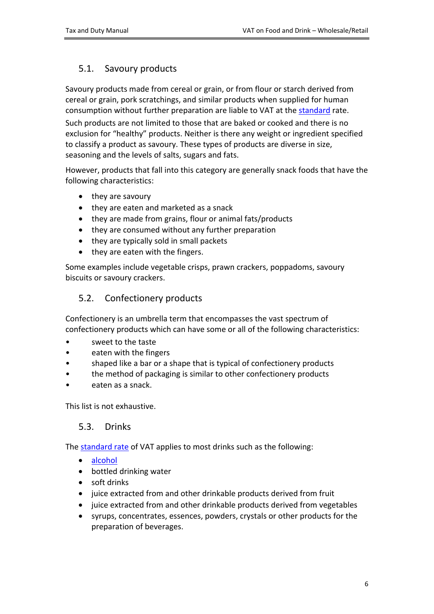### <span id="page-5-0"></span>5.1. Savoury products

Savoury products made from cereal or grain, or from flour or starch derived from cereal or grain, pork scratchings, and similar products when supplied for human consumption without further preparation are liable to VAT at the [standard](https://www.revenue.ie/en/vat/vat-rates/search-vat-rates/current-vat-rates.aspx) rate. Such products are not limited to those that are baked or cooked and there is no exclusion for "healthy" products. Neither is there any weight or ingredient specified to classify a product as savoury. These types of products are diverse in size, seasoning and the levels of salts, sugars and fats.

However, products that fall into this category are generally snack foods that have the following characteristics:

- they are savoury
- they are eaten and marketed as a snack
- they are made from grains, flour or animal fats/products
- they are consumed without any further preparation
- they are typically sold in small packets
- they are eaten with the fingers.

Some examples include vegetable crisps, prawn crackers, poppadoms, savoury biscuits or savoury crackers.

### <span id="page-5-1"></span>5.2. Confectionery products

Confectionery is an umbrella term that encompasses the vast spectrum of confectionery products which can have some or all of the following characteristics:

- sweet to the taste
- eaten with the fingers
- shaped like a bar or a shape that is typical of confectionery products
- the method of packaging is similar to other confectionery products
- eaten as a snack.

This list is not exhaustive.

#### <span id="page-5-2"></span>5.3. Drinks

The [standard](https://www.revenue.ie/en/vat/vat-rates/search-vat-rates/current-vat-rates.aspx) [rate](https://www.revenue.ie/en/vat/vat-rates/search-vat-rates/current-vat-rates.aspx) of VAT applies to most drinks such as the following:

- [alcohol](https://www.revenue.ie/en/vat/vat-on-goods/food-drinks-and-supplements/food-and-drink.aspx)
- bottled drinking water
- soft drinks
- juice extracted from and other drinkable products derived from fruit
- juice extracted from and other drinkable products derived from vegetables
- syrups, concentrates, essences, powders, crystals or other products for the preparation of beverages.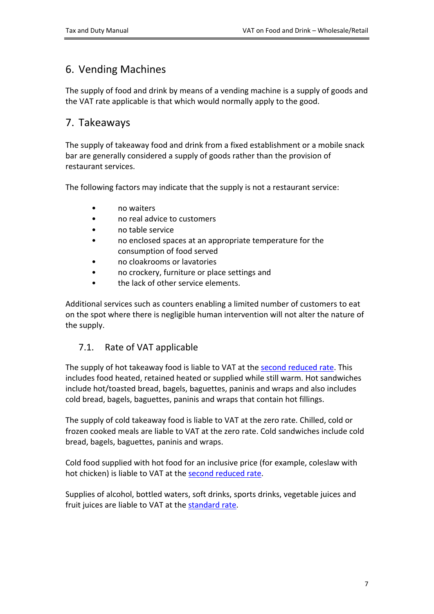# <span id="page-6-0"></span>6. Vending Machines

The supply of food and drink by means of a vending machine is a supply of goods and the VAT rate applicable is that which would normally apply to the good.

# <span id="page-6-1"></span>7. Takeaways

The supply of takeaway food and drink from a fixed establishment or a mobile snack bar are generally considered a supply of goods rather than the provision of restaurant services.

The following factors may indicate that the supply is not a restaurant service:

- no waiters
- no real advice to customers
- no table service
- no enclosed spaces at an appropriate temperature for the consumption of food served
- no cloakrooms or lavatories
- no crockery, furniture or place settings and
- the lack of other service elements.

Additional services such as counters enabling a limited number of customers to eat on the spot where there is negligible human intervention will not alter the nature of the supply.

### <span id="page-6-2"></span>7.1. Rate of VAT applicable

The supply of hot takeaway food is liable to VAT at the [second](https://www.revenue.ie/en/vat/vat-rates/search-vat-rates/current-vat-rates.aspx) [reduced](https://www.revenue.ie/en/vat/vat-rates/search-vat-rates/current-vat-rates.aspx) [rate](https://www.revenue.ie/en/vat/vat-rates/search-vat-rates/current-vat-rates.aspx). This includes food heated, retained heated or supplied while still warm. Hot sandwiches include hot/toasted bread, bagels, baguettes, paninis and wraps and also includes cold bread, bagels, baguettes, paninis and wraps that contain hot fillings.

The supply of cold takeaway food is liable to VAT at the zero rate. Chilled, cold or frozen cooked meals are liable to VAT at the zero rate. Cold sandwiches include cold bread, bagels, baguettes, paninis and wraps.

Cold food supplied with hot food for an inclusive price (for example, coleslaw with hot chicken) is liable to VAT at the [second](https://www.revenue.ie/en/vat/vat-rates/search-vat-rates/current-vat-rates.aspx) [reduced](https://www.revenue.ie/en/vat/vat-rates/search-vat-rates/current-vat-rates.aspx) [rate.](https://www.revenue.ie/en/vat/vat-rates/search-vat-rates/current-vat-rates.aspx)

Supplies of alcohol, bottled waters, soft drinks, sports drinks, vegetable juices and fruit juices are liable to VAT at the [standard](https://www.revenue.ie/en/vat/vat-rates/search-vat-rates/current-vat-rates.aspx) [rate](https://www.revenue.ie/en/vat/vat-rates/search-vat-rates/current-vat-rates.aspx).